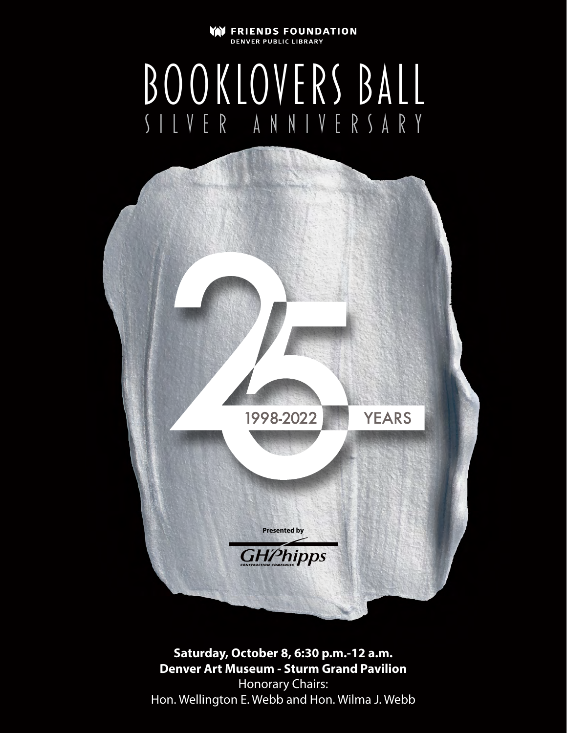#### lyn I **FRIENDS FOUNDATION DENVER PUBLIC LIBRARY**

# booklovers ball silver anniversary



**Saturday, October 8, 6:30 p.m.-12 a.m. Denver Art Museum - Sturm Grand Pavilion** Honorary Chairs: Hon. Wellington E. Webb and Hon. Wilma J. Webb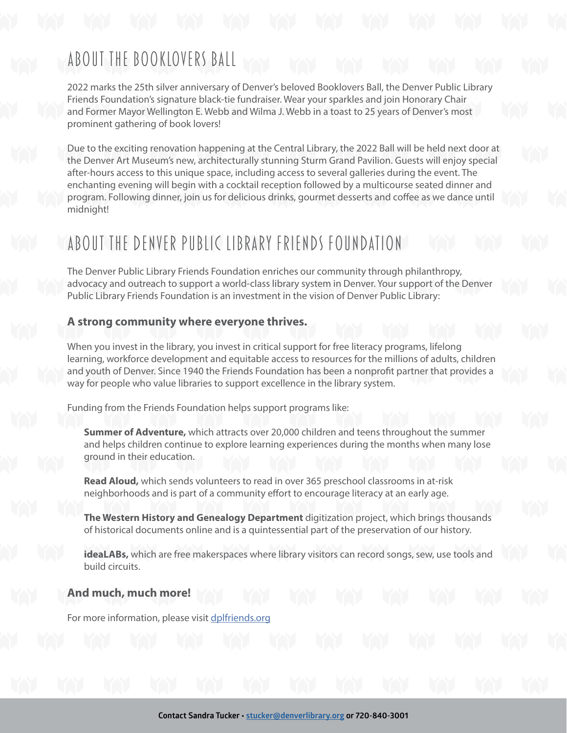## About the Booklovers Ball

2022 marks the 25th silver anniversary of Denver's beloved Booklovers Ball, the Denver Public Library Friends Foundation's signature black-tie fundraiser. Wear your sparkles and join Honorary Chair and Former Mayor Wellington E. Webb and Wilma J. Webb in a toast to 25 years of Denver's most prominent gathering of book lovers!

Due to the exciting renovation happening at the Central Library, the 2022 Ball will be held next door at the Denver Art Museum's new, architecturally stunning Sturm Grand Pavilion. Guests will enjoy special after-hours access to this unique space, including access to several galleries during the event. The enchanting evening will begin with a cocktail reception followed by a multicourse seated dinner and program. Following dinner, join us for delicious drinks, gourmet desserts and coffee as we dance until midnight!

## About the Denver Public Library Friends Foundation

The Denver Public Library Friends Foundation enriches our community through philanthropy, advocacy and outreach to support a world-class library system in Denver. Your support of the Denver Public Library Friends Foundation is an investment in the vision of Denver Public Library:

## **A strong community where everyone thrives.**

When you invest in the library, you invest in critical support for free literacy programs, lifelong learning, workforce development and equitable access to resources for the millions of adults, children and youth of Denver. Since 1940 the Friends Foundation has been a nonprofit partner that provides a way for people who value libraries to support excellence in the library system.

Funding from the Friends Foundation helps support programs like:

**Summer of Adventure,** which attracts over 20,000 children and teens throughout the summer and helps children continue to explore learning experiences during the months when many lose ground in their education.

**Read Aloud,** which sends volunteers to read in over 365 preschool classrooms in at-risk neighborhoods and is part of a community effort to encourage literacy at an early age.

**The Western History and Genealogy Department** digitization project, which brings thousands of historical documents online and is a quintessential part of the preservation of our history.

**ideaLABs,** which are free makerspaces where library visitors can record songs, sew, use tools and build circuits.

## **And much, much more!**

For more information, please visit [dplfriends.org](http://dplfriends.org)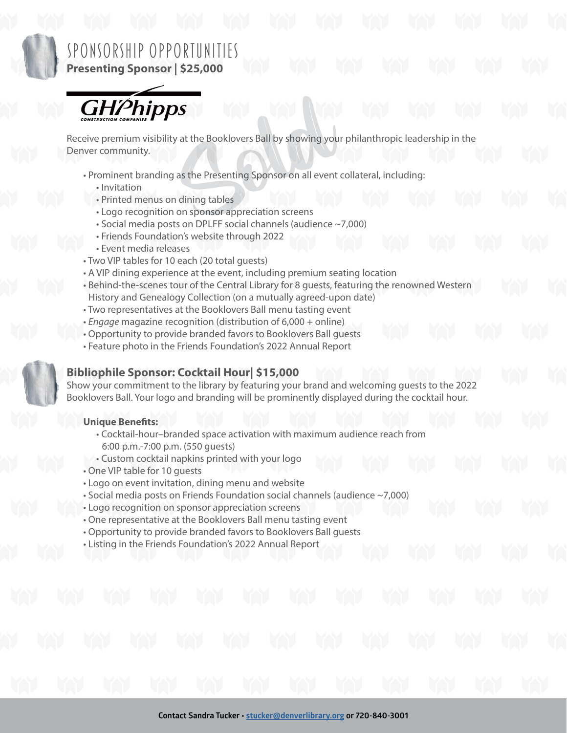

## Sponsorship Opportunities **Presenting Sponsor | \$25,000**

**GHPhipps** 

Receive premium visibility at the Booklovers Ball by showing your philanthropic leadership in the Denver community.

- Prominent branding as the Presenting Sponsor on all event collateral, including:
	- Invitation
	- Printed menus on dining tables
	- Logo recognition on sponsor appreciation screens
	- Social media posts on DPLFF social channels (audience ~7,000)
	- Friends Foundation's website through 2022
	- Event media releases
- Two VIP tables for 10 each (20 total guests)
- A VIP dining experience at the event, including premium seating location
- Behind-the-scenes tour of the Central Library for 8 guests, featuring the renowned Western History and Genealogy Collection (on a mutually agreed-upon date)
- Two representatives at the Booklovers Ball menu tasting event
- *Engage* magazine recognition (distribution of 6,000 + online)
- Opportunity to provide branded favors to Booklovers Ball guests
- Feature photo in the Friends Foundation's 2022 Annual Report



## **Bibliophile Sponsor: Cocktail Hour| \$15,000**

Show your commitment to the library by featuring your brand and welcoming guests to the 2022 Booklovers Ball. Your logo and branding will be prominently displayed during the cocktail hour.

## **Unique Benefits:**

- Cocktail-hour–branded space activation with maximum audience reach from 6:00 p.m.-7:00 p.m. (550 guests)
- Custom cocktail napkins printed with your logo
- One VIP table for 10 guests
- Logo on event invitation, dining menu and website
- Social media posts on Friends Foundation social channels (audience ~7,000)
- Logo recognition on sponsor appreciation screens
- One representative at the Booklovers Ball menu tasting event
- Opportunity to provide branded favors to Booklovers Ball guests
- Listing in the Friends Foundation's 2022 Annual Report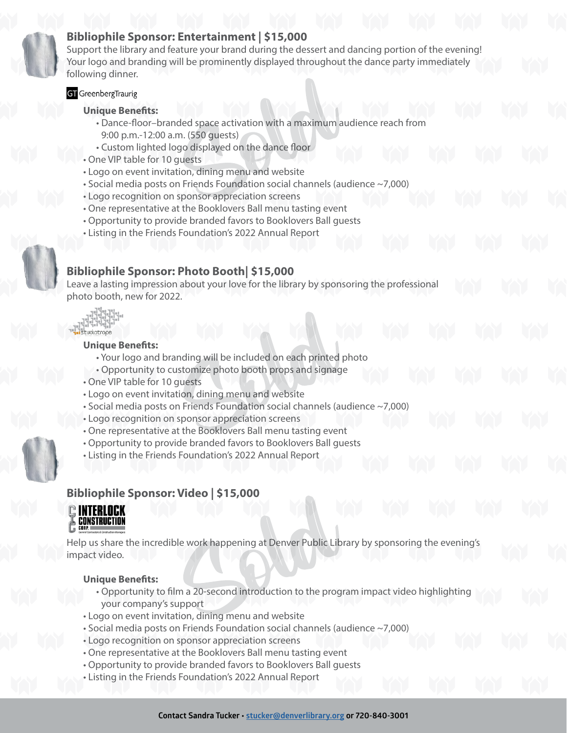## **Bibliophile Sponsor: Entertainment | \$15,000**

Support the library and feature your brand during the dessert and dancing portion of the evening! Your logo and branding will be prominently displayed throughout the dance party immediately following dinner.

## **GT** GreenbergTraurig

## **Unique Benefits:**

- Dance-floor–branded space activation with a maximum audience reach from 9:00 p.m.-12:00 a.m. (550 guests)
- Custom lighted logo displayed on the dance floor
- One VIP table for 10 guests
- Logo on event invitation, dining menu and website
- Social media posts on Friends Foundation social channels (audience ~7,000)
- Logo recognition on sponsor appreciation screens
- One representative at the Booklovers Ball menu tasting event
- Opportunity to provide branded favors to Booklovers Ball guests
- Listing in the Friends Foundation's 2022 Annual Report

## **Bibliophile Sponsor: Photo Booth| \$15,000**

Leave a lasting impression about your love for the library by sponsoring the professional photo booth, new for 2022.

studiotrope

#### **Unique Benefits:**

- Your logo and branding will be included on each printed photo
- Opportunity to customize photo booth props and signage
- One VIP table for 10 guests
- Logo on event invitation, dining menu and website
- Social media posts on Friends Foundation social channels (audience ~7,000)
- Logo recognition on sponsor appreciation screens
- One representative at the Booklovers Ball menu tasting event
- Opportunity to provide branded favors to Booklovers Ball guests
- Listing in the Friends Foundation's 2022 Annual Report

## **Bibliophile Sponsor: Video | \$15,000**



Help us share the incredible work happening at Denver Public Library by sponsoring the evening's impact video.

## **Unique Benefits:**

- Opportunity to film a 20-second introduction to the program impact video highlighting your company's support
- Logo on event invitation, dining menu and website
- Social media posts on Friends Foundation social channels (audience ~7,000)
- Logo recognition on sponsor appreciation screens
- One representative at the Booklovers Ball menu tasting event
- Opportunity to provide branded favors to Booklovers Ball guests
- Listing in the Friends Foundation's 2022 Annual Report